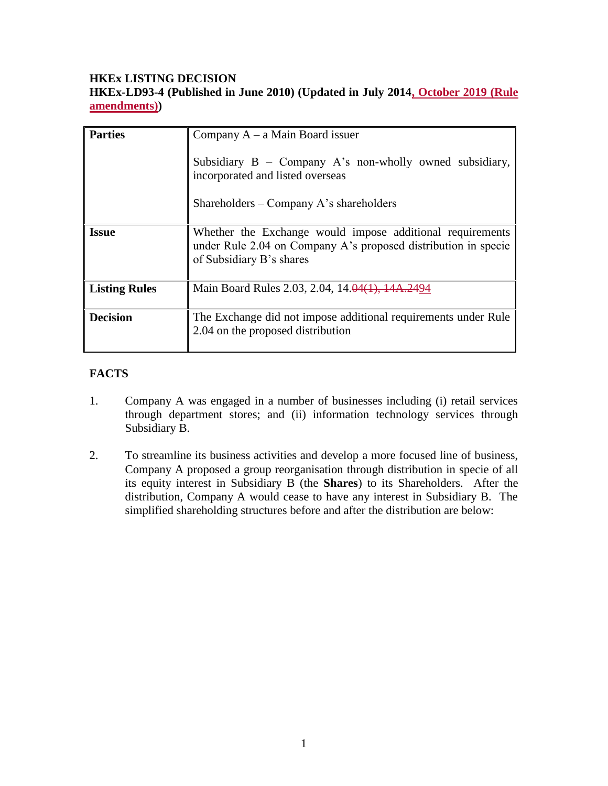#### **HKEx LISTING DECISION HKEx-LD93-4 (Published in June 2010) (Updated in July 2014, October 2019 (Rule amendments))**

| <b>Parties</b>       | Company $A - a$ Main Board issuer<br>Subsidiary $B$ – Company A's non-wholly owned subsidiary,<br>incorporated and listed overseas<br>Shareholders – Company A's shareholders |
|----------------------|-------------------------------------------------------------------------------------------------------------------------------------------------------------------------------|
| <b>Issue</b>         | Whether the Exchange would impose additional requirements<br>under Rule 2.04 on Company A's proposed distribution in specie<br>of Subsidiary B's shares                       |
| <b>Listing Rules</b> | Main Board Rules 2.03, 2.04, 14.04(1), 14A.2494                                                                                                                               |
| <b>Decision</b>      | The Exchange did not impose additional requirements under Rule<br>2.04 on the proposed distribution                                                                           |

# **FACTS**

- 1. Company A was engaged in a number of businesses including (i) retail services through department stores; and (ii) information technology services through Subsidiary B.
- 2. To streamline its business activities and develop a more focused line of business, Company A proposed a group reorganisation through distribution in specie of all its equity interest in Subsidiary B (the **Shares**) to its Shareholders. After the distribution, Company A would cease to have any interest in Subsidiary B. The simplified shareholding structures before and after the distribution are below: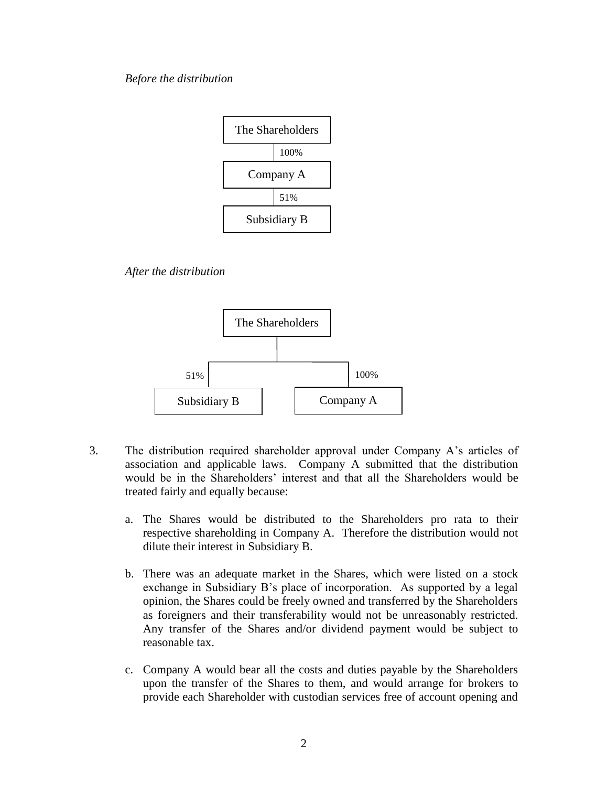#### *Before the distribution*



*After the distribution* 



- 3. The distribution required shareholder approval under Company A's articles of association and applicable laws. Company A submitted that the distribution would be in the Shareholders' interest and that all the Shareholders would be treated fairly and equally because:
	- a. The Shares would be distributed to the Shareholders pro rata to their respective shareholding in Company A. Therefore the distribution would not dilute their interest in Subsidiary B.
	- b. There was an adequate market in the Shares, which were listed on a stock exchange in Subsidiary B's place of incorporation. As supported by a legal opinion, the Shares could be freely owned and transferred by the Shareholders as foreigners and their transferability would not be unreasonably restricted. Any transfer of the Shares and/or dividend payment would be subject to reasonable tax.
	- c. Company A would bear all the costs and duties payable by the Shareholders upon the transfer of the Shares to them, and would arrange for brokers to provide each Shareholder with custodian services free of account opening and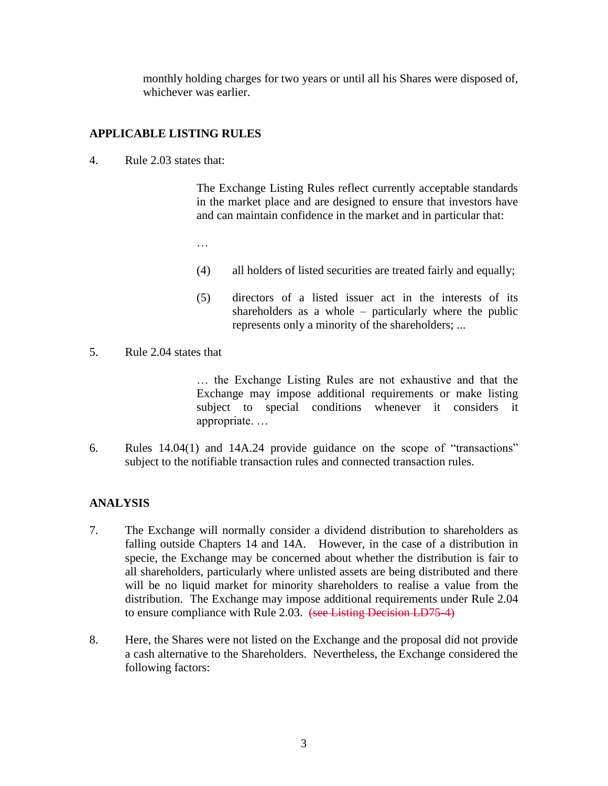monthly holding charges for two years or until all his Shares were disposed of, whichever was earlier.

# **APPLICABLE LISTING RULES**

4. Rule 2.03 states that:

The Exchange Listing Rules reflect currently acceptable standards in the market place and are designed to ensure that investors have and can maintain confidence in the market and in particular that:

…

- (4) all holders of listed securities are treated fairly and equally;
- (5) directors of a listed issuer act in the interests of its shareholders as a whole – particularly where the public represents only a minority of the shareholders; ...
- 5. Rule 2.04 states that

… the Exchange Listing Rules are not exhaustive and that the Exchange may impose additional requirements or make listing subject to special conditions whenever it considers it appropriate. …

6. Rules 14.04(1) and 14A.24 provide guidance on the scope of "transactions" subject to the notifiable transaction rules and connected transaction rules.

## **ANALYSIS**

- 7. The Exchange will normally consider a dividend distribution to shareholders as falling outside Chapters 14 and 14A. However, in the case of a distribution in specie, the Exchange may be concerned about whether the distribution is fair to all shareholders, particularly where unlisted assets are being distributed and there will be no liquid market for minority shareholders to realise a value from the distribution. The Exchange may impose additional requirements under Rule 2.04 to ensure compliance with Rule 2.03. (see Listing Decision LD75-4)
- 8. Here, the Shares were not listed on the Exchange and the proposal did not provide a cash alternative to the Shareholders. Nevertheless, the Exchange considered the following factors: